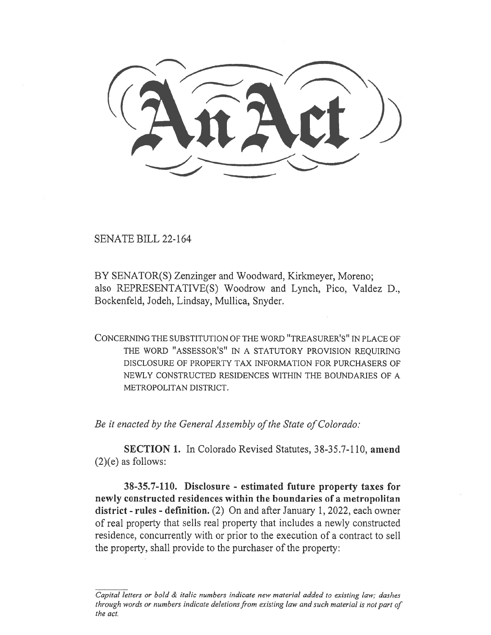SENATE BILL 22-164

BY SENATOR(S) Zenzinger and Woodward, Kirkmeyer, Moreno; also REPRESENTATIVE(S) Woodrow and Lynch, Pico, Valdez D., Bockenfeld, Jodeh, Lindsay, Mullica, Snyder.

CONCERNING THE SUBSTITUTION OF THE WORD "TREASURER'S" IN PLACE OF THE WORD "ASSESSOR'S" IN A STATUTORY PROVISION REQUIRING DISCLOSURE OF PROPERTY TAX INFORMATION FOR PURCHASERS OF NEWLY CONSTRUCTED RESIDENCES WITHIN THE BOUNDARIES OF A METROPOLITAN DISTRICT.

Be it enacted by the General Assembly of the State of Colorado:

SECTION 1. In Colorado Revised Statutes, 38-35.7-110, amend (2)(e) as follows:

38-35.7-110. Disclosure - estimated future property taxes for newly constructed residences within the boundaries of a metropolitan district - rules - definition. (2) On and after January 1, 2022, each owner of real property that sells real property that includes a newly constructed residence, concurrently with or prior to the execution of a contract to sell the property, shall provide to the purchaser of the property:

Capital letters or bold & italic numbers indicate new material added to existing law; dashes through words or numbers indicate deletions from existing law and such material is not part of the act.